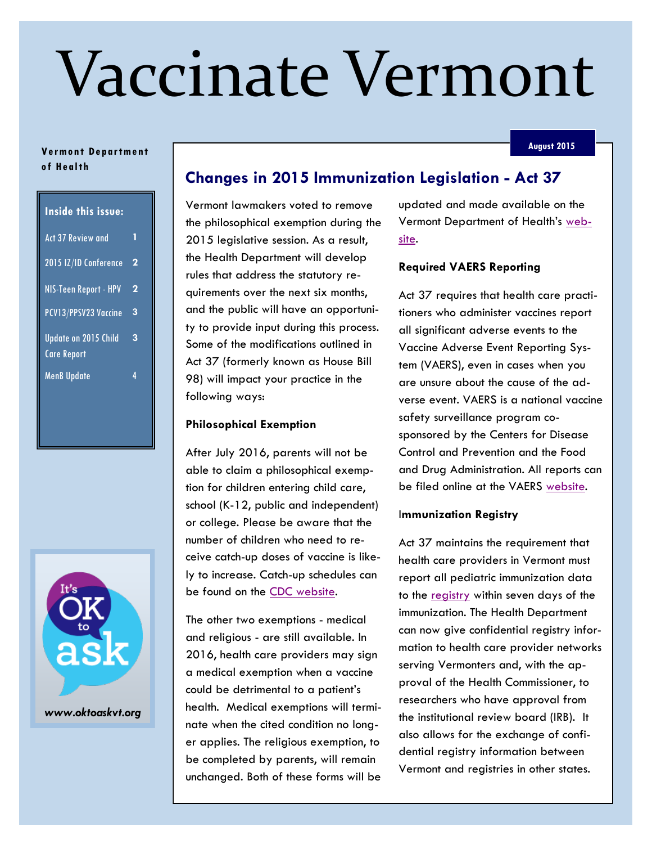# Vaccinate Vermont

#### **August 2015**

### **Ve rmo nt De partme nt o f He al th**

| <b>Inside this issue:</b>                  |   |
|--------------------------------------------|---|
| <b>Act 37 Review and</b>                   | 1 |
| 2015 IZ/ID Conference                      | 2 |
| NIS-Teen Report - HPV                      | 2 |
| PCV13/PPSV23 Vaccine                       | 3 |
| <b>Update on 2015 Child</b><br>Care Report | 3 |
| <b>MenB Update</b>                         | 4 |



# **Changes in 2015 Immunization Legislation - Act 37**

Vermont lawmakers voted to remove the philosophical exemption during the 2015 legislative session. As a result, the Health Department will develop rules that address the statutory requirements over the next six months, and the public will have an opportunity to provide input during this process. Some of the modifications outlined in Act 37 (formerly known as House Bill 98) will impact your practice in the following ways:

## **Philosophical Exemption**

After July 2016, parents will not be able to claim a philosophical exemption for children entering child care, school (K-12, public and independent) or college. Please be aware that the number of children who need to receive catch-up doses of vaccine is likely to increase. Catch-up schedules can be found on the [CDC website.](http://www.cdc.gov/vaccines/schedules/hcp/imz/catchup.html)

The other two exemptions - medical and religious - are still available. In 2016, health care providers may sign a medical exemption when a vaccine could be detrimental to a patient's health. Medical exemptions will terminate when the cited condition no longer applies. The religious exemption, to be completed by parents, will remain unchanged. Both of these forms will be updated and made available on the Vermont Department of Health's [web](http://healthvermont.gov/hc/imm)[site.](http://healthvermont.gov/hc/imm)

### **Required VAERS Reporting**

Act 37 requires that health care practitioners who administer vaccines report all significant adverse events to the Vaccine Adverse Event Reporting System (VAERS), even in cases when you are unsure about the cause of the adverse event. VAERS is a national vaccine safety surveillance program cosponsored by the Centers for Disease Control and Prevention and the Food and Drug Administration. All reports can be filed online at the VAERS [website.](https://vaers.hhs.gov/index)

#### I**mmunization Registry**

Act 37 maintains the requirement that health care providers in Vermont must report all pediatric immunization data to the [registry](http://healthvermont.gov/hc/IMR/index.aspx) within seven days of the immunization. The Health Department can now give confidential registry information to health care provider networks serving Vermonters and, with the approval of the Health Commissioner, to researchers who have approval from the institutional review board (IRB). It also allows for the exchange of confidential registry information between Vermont and registries in other states.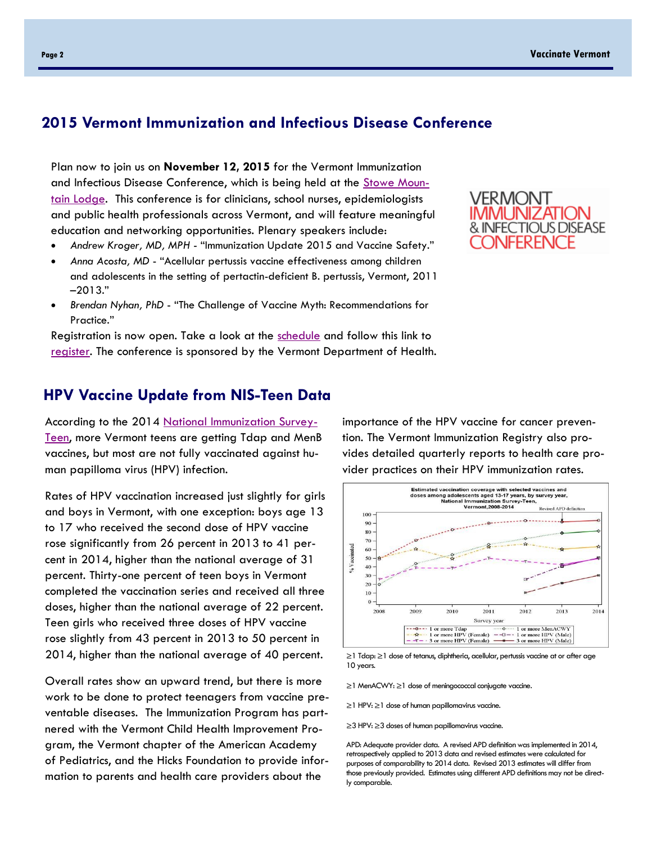## **2015 Vermont Immunization and Infectious Disease Conference**

Plan now to join us on **November 12, 2015** for the Vermont Immunization and Infectious Disease Conference, which is being held at the [Stowe Moun](http://www.stowemountainlodge.com/)[tain Lodge.](http://www.stowemountainlodge.com/) This conference is for clinicians, school nurses, epidemiologists and public health professionals across Vermont, and will feature meaningful education and networking opportunities. Plenary speakers include:

- *Andrew Kroger, MD, MPH*  "Immunization Update 2015 and Vaccine Safety."
- *Anna Acosta, MD*  "Acellular pertussis vaccine effectiveness among children and adolescents in the setting of pertactin-deficient B. pertussis, Vermont, 2011 –2013."
- *Brendan Nyhan, PhD*  "The Challenge of Vaccine Myth: Recommendations for Practice."

Registration is now open. Take a look at the [schedule](http://vermontidconference.com/schedule.html) and follow this link to [register.](http://vermontidconference.com/registration.html) The conference is sponsored by the Vermont Department of Health.

## VERMONT IMMUNIZATION & INFECTIOUS DISEASE **JNFERENCE**

## **HPV Vaccine Update from NIS-Teen Data**

According to the 2014 [National Immunization Survey-](http://www.cdc.gov/nchs/nis/data_files_teen.htm)[Teen,](http://www.cdc.gov/nchs/nis/data_files_teen.htm) more Vermont teens are getting Tdap and MenB vaccines, but most are not fully vaccinated against human papilloma virus (HPV) infection.

Rates of HPV vaccination increased just slightly for girls and boys in Vermont, with one exception: boys age 13 to 17 who received the second dose of HPV vaccine rose significantly from 26 percent in 2013 to 41 percent in 2014, higher than the national average of 31 percent. Thirty-one percent of teen boys in Vermont completed the vaccination series and received all three doses, higher than the national average of 22 percent. Teen girls who received three doses of HPV vaccine rose slightly from 43 percent in 2013 to 50 percent in 2014, higher than the national average of 40 percent.

Overall rates show an upward trend, but there is more work to be done to protect teenagers from vaccine preventable diseases. The Immunization Program has partnered with the Vermont Child Health Improvement Program, the Vermont chapter of the American Academy of Pediatrics, and the Hicks Foundation to provide information to parents and health care providers about the

importance of the HPV vaccine for cancer prevention. The Vermont Immunization Registry also provides detailed quarterly reports to health care provider practices on their HPV immunization rates.



≥1 Tdap: ≥1 dose of tetanus, diphtheria, acellular, pertussis vaccine at or after age 10 years.

≥1 MenACWY: ≥1 dose of meningococcal conjugate vaccine.

≥1 HPV: ≥1 dose of human papillomavirus vaccine.

≥3 HPV: ≥3 doses of human papillomavirus vaccine.

APD: Adequate provider data. A revised APD definition was implemented in 2014, retrospectively applied to 2013 data and revised estimates were calculated for purposes of comparability to 2014 data. Revised 2013 estimates will differ from those previously provided. Estimates using different APD definitions may not be directly comparable.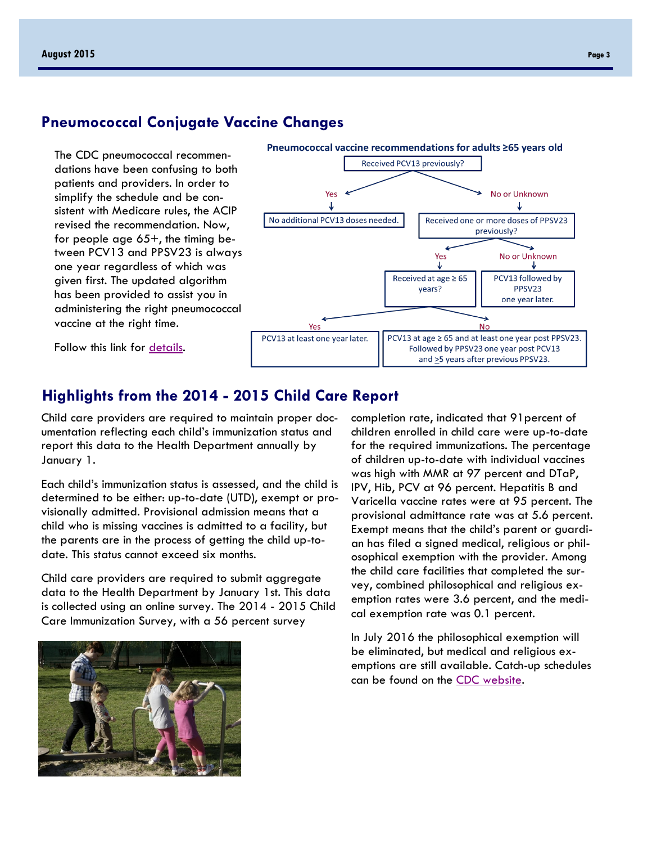## **Pneumococcal Conjugate Vaccine Changes**

The CDC pneumococcal recommendations have been confusing to both patients and providers. In order to simplify the schedule and be consistent with Medicare rules, the ACIP revised the recommendation. Now, for people age  $65+$ , the timing between PCV13 and PPSV23 is always one year regardless of which was given first. The updated algorithm has been provided to assist you in administering the right pneumococcal vaccine at the right time.



years?

PPSV23 one year later.

Follow this link for [details.](http://healthvermont.gov/hc/imm/documents/Pneumococcal_vax.pdf)

## **Highlights from the 2014 - 2015 Child Care Report**

PCV13 at least one year later.

Child care providers are required to maintain proper documentation reflecting each child's immunization status and report this data to the Health Department annually by January 1.

Each child's immunization status is assessed, and the child is determined to be either: up-to-date (UTD), exempt or provisionally admitted. Provisional admission means that a child who is missing vaccines is admitted to a facility, but the parents are in the process of getting the child up-todate. This status cannot exceed six months.

Child care providers are required to submit aggregate data to the Health Department by January 1st. This data is collected using an online survey. The 2014 - 2015 Child Care Immunization Survey, with a 56 percent survey

completion rate, indicated that 91percent of children enrolled in child care were up-to-date for the required immunizations. The percentage of children up-to-date with individual vaccines was high with MMR at 97 percent and DTaP, IPV, Hib, PCV at 96 percent. Hepatitis B and Varicella vaccine rates were at 95 percent. The provisional admittance rate was at 5.6 percent. Exempt means that the child's parent or guardian has filed a signed medical, religious or philosophical exemption with the provider. Among the child care facilities that completed the survey, combined philosophical and religious exemption rates were 3.6 percent, and the medical exemption rate was 0.1 percent.

**Nc** 

PCV13 at age ≥ 65 and at least one year post PPSV23. Followed by PPSV23 one year post PCV13 and  $\geq$ 5 years after previous PPSV23.

In July 2016 the philosophical exemption will be eliminated, but medical and religious exemptions are still available. Catch-up schedules can be found on the [CDC website.](http://www.cdc.gov/vaccines/schedules/hcp/imz/catchup.html)